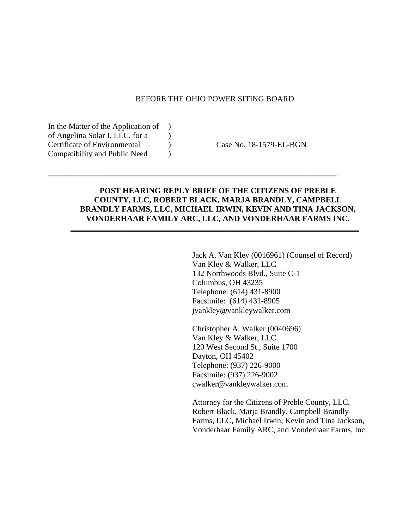### BEFORE THE OHIO POWER SITING BOARD

In the Matter of the Application of ) of Angelina Solar I, LLC, for a  $\qquad$  ) Certificate of Environmental ) Case No. 18-1579-EL-BGN Compatibility and Public Need )

# **POST HEARING REPLY BRIEF OF THE CITIZENS OF PREBLE COUNTY, LLC, ROBERT BLACK, MARJA BRANDLY, CAMPBELL BRANDLY FARMS, LLC, MICHAEL IRWIN, KEVIN AND TINA JACKSON, VONDERHAAR FAMILY ARC, LLC, AND VONDERHAAR FARMS INC.**

\_\_\_\_\_\_\_\_\_\_\_\_\_\_\_\_\_\_\_\_\_\_\_\_\_\_\_\_\_\_\_\_\_\_\_\_\_\_\_\_\_\_\_\_\_\_\_\_\_\_\_\_\_\_\_\_\_\_\_\_\_\_\_\_\_\_\_\_\_\_\_\_

\_\_\_\_\_\_\_\_\_\_\_\_\_\_\_\_\_\_\_\_\_\_\_\_\_\_\_\_\_\_\_\_\_\_\_\_\_\_\_\_\_\_\_\_\_\_\_\_\_\_\_\_\_\_\_\_\_\_\_\_\_\_\_\_\_\_\_\_\_\_\_\_

Jack A. Van Kley (0016961) (Counsel of Record) Van Kley & Walker, LLC 132 Northwoods Blvd., Suite C-1 Columbus, OH 43235 Telephone: (614) 431-8900 Facsimile: (614) 431-8905 jvankley@vankleywalker.com

Christopher A. Walker (0040696) Van Kley & Walker, LLC 120 West Second St., Suite 1700 Dayton, OH 45402 Telephone: (937) 226-9000 Facsimile: (937) 226-9002 cwalker@vankleywalker.com

Attorney for the Citizens of Preble County, LLC, Robert Black, Marja Brandly, Campbell Brandly Farms, LLC, Michael Irwin, Kevin and Tina Jackson, Vonderhaar Family ARC, and Vonderhaar Farms, Inc.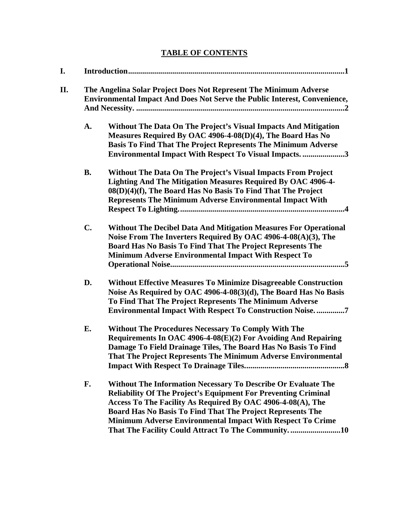# **TABLE OF CONTENTS**

| I.  | The Angelina Solar Project Does Not Represent The Minimum Adverse<br><b>Environmental Impact And Does Not Serve the Public Interest, Convenience,</b> |                                                                                                                                                                                                                                                                                                                                                                                         |  |
|-----|-------------------------------------------------------------------------------------------------------------------------------------------------------|-----------------------------------------------------------------------------------------------------------------------------------------------------------------------------------------------------------------------------------------------------------------------------------------------------------------------------------------------------------------------------------------|--|
| II. |                                                                                                                                                       |                                                                                                                                                                                                                                                                                                                                                                                         |  |
|     | A.                                                                                                                                                    | Without The Data On The Project's Visual Impacts And Mitigation<br>Measures Required By OAC 4906-4-08(D)(4), The Board Has No<br><b>Basis To Find That The Project Represents The Minimum Adverse</b><br><b>Environmental Impact With Respect To Visual Impacts3</b>                                                                                                                    |  |
|     | <b>B.</b>                                                                                                                                             | Without The Data On The Project's Visual Impacts From Project<br>Lighting And The Mitigation Measures Required By OAC 4906-4-<br>08(D)(4)(f), The Board Has No Basis To Find That The Project<br><b>Represents The Minimum Adverse Environmental Impact With</b>                                                                                                                        |  |
|     | C.                                                                                                                                                    | <b>Without The Decibel Data And Mitigation Measures For Operational</b><br>Noise From The Inverters Required By OAC 4906-4-08(A)(3), The<br>Board Has No Basis To Find That The Project Represents The<br>Minimum Adverse Environmental Impact With Respect To                                                                                                                          |  |
|     | D.                                                                                                                                                    | <b>Without Effective Measures To Minimize Disagreeable Construction</b><br>Noise As Required by OAC 4906-4-08(3)(d), The Board Has No Basis<br>To Find That The Project Represents The Minimum Adverse<br><b>Environmental Impact With Respect To Construction Noise7</b>                                                                                                               |  |
|     | Е.                                                                                                                                                    | <b>Without The Procedures Necessary To Comply With The</b><br>Requirements In OAC 4906-4-08(E)(2) For Avoiding And Repairing<br>Damage To Field Drainage Tiles, The Board Has No Basis To Find<br>That The Project Represents The Minimum Adverse Environmental<br>$\boldsymbol{.8}$                                                                                                    |  |
|     | F.                                                                                                                                                    | Without The Information Necessary To Describe Or Evaluate The<br><b>Reliability Of The Project's Equipment For Preventing Criminal</b><br>Access To The Facility As Required By OAC 4906-4-08(A), The<br>Board Has No Basis To Find That The Project Represents The<br>Minimum Adverse Environmental Impact With Respect To Crime<br>That The Facility Could Attract To The Community10 |  |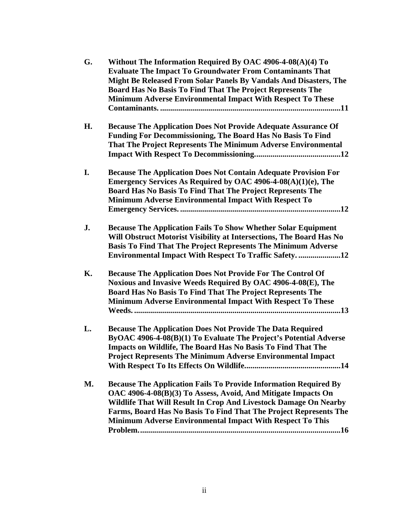| G.        | Without The Information Required By OAC 4906-4-08(A)(4) To<br><b>Evaluate The Impact To Groundwater From Contaminants That</b><br>Might Be Released From Solar Panels By Vandals And Disasters, The<br>Board Has No Basis To Find That The Project Represents The<br>Minimum Adverse Environmental Impact With Respect To These                       |
|-----------|-------------------------------------------------------------------------------------------------------------------------------------------------------------------------------------------------------------------------------------------------------------------------------------------------------------------------------------------------------|
| Н.        | <b>Because The Application Does Not Provide Adequate Assurance Of</b><br>Funding For Decommissioning, The Board Has No Basis To Find<br>That The Project Represents The Minimum Adverse Environmental                                                                                                                                                 |
| I.        | <b>Because The Application Does Not Contain Adequate Provision For</b><br>Emergency Services As Required by OAC 4906-4-08(A)(1)(e), The<br>Board Has No Basis To Find That The Project Represents The<br>Minimum Adverse Environmental Impact With Respect To                                                                                         |
| J.        | <b>Because The Application Fails To Show Whether Solar Equipment</b><br>Will Obstruct Motorist Visibility at Intersections, The Board Has No<br><b>Basis To Find That The Project Represents The Minimum Adverse</b><br><b>Environmental Impact With Respect To Traffic Safety12</b>                                                                  |
| К.        | <b>Because The Application Does Not Provide For The Control Of</b><br>Noxious and Invasive Weeds Required By OAC 4906-4-08(E), The<br>Board Has No Basis To Find That The Project Represents The<br><b>Minimum Adverse Environmental Impact With Respect To These</b>                                                                                 |
| L.        | <b>Because The Application Does Not Provide The Data Required</b><br>ByOAC 4906-4-08(B)(1) To Evaluate The Project's Potential Adverse<br>Impacts on Wildlife, The Board Has No Basis To Find That The<br><b>Project Represents The Minimum Adverse Environmental Impact</b>                                                                          |
| <b>M.</b> | <b>Because The Application Fails To Provide Information Required By</b><br>OAC 4906-4-08(B)(3) To Assess, Avoid, And Mitigate Impacts On<br>Wildlife That Will Result In Crop And Livestock Damage On Nearby<br>Farms, Board Has No Basis To Find That The Project Represents The<br><b>Minimum Adverse Environmental Impact With Respect To This</b> |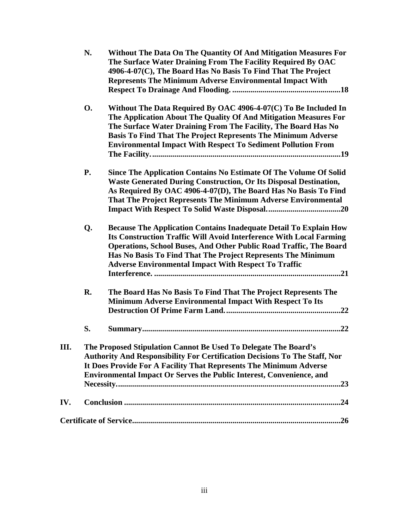|     | N.                                                                                                                                                                                                                                                                                                 | Without The Data On The Quantity Of And Mitigation Measures For<br>The Surface Water Draining From The Facility Required By OAC<br>4906-4-07(C), The Board Has No Basis To Find That The Project<br><b>Represents The Minimum Adverse Environmental Impact With</b>                                                                                  |  |
|-----|----------------------------------------------------------------------------------------------------------------------------------------------------------------------------------------------------------------------------------------------------------------------------------------------------|------------------------------------------------------------------------------------------------------------------------------------------------------------------------------------------------------------------------------------------------------------------------------------------------------------------------------------------------------|--|
|     | <b>O.</b>                                                                                                                                                                                                                                                                                          | Without The Data Required By OAC 4906-4-07(C) To Be Included In<br>The Application About The Quality Of And Mitigation Measures For<br>The Surface Water Draining From The Facility, The Board Has No<br><b>Basis To Find That The Project Represents The Minimum Adverse</b><br><b>Environmental Impact With Respect To Sediment Pollution From</b> |  |
|     | <b>P.</b>                                                                                                                                                                                                                                                                                          | Since The Application Contains No Estimate Of The Volume Of Solid<br><b>Waste Generated During Construction, Or Its Disposal Destination,</b><br>As Required By OAC 4906-4-07(D), The Board Has No Basis To Find<br>That The Project Represents The Minimum Adverse Environmental                                                                    |  |
|     | Q.                                                                                                                                                                                                                                                                                                 | <b>Because The Application Contains Inadequate Detail To Explain How</b><br>Its Construction Traffic Will Avoid Interference With Local Farming<br>Operations, School Buses, And Other Public Road Traffic, The Board<br>Has No Basis To Find That The Project Represents The Minimum<br><b>Adverse Environmental Impact With Respect To Traffic</b> |  |
|     | R.                                                                                                                                                                                                                                                                                                 | The Board Has No Basis To Find That The Project Represents The<br>Minimum Adverse Environmental Impact With Respect To Its                                                                                                                                                                                                                           |  |
|     | S.                                                                                                                                                                                                                                                                                                 |                                                                                                                                                                                                                                                                                                                                                      |  |
| Ш.  | The Proposed Stipulation Cannot Be Used To Delegate The Board's<br>Authority And Responsibility For Certification Decisions To The Staff, Nor<br>It Does Provide For A Facility That Represents The Minimum Adverse<br><b>Environmental Impact Or Serves the Public Interest, Convenience, and</b> |                                                                                                                                                                                                                                                                                                                                                      |  |
| IV. |                                                                                                                                                                                                                                                                                                    |                                                                                                                                                                                                                                                                                                                                                      |  |
|     |                                                                                                                                                                                                                                                                                                    |                                                                                                                                                                                                                                                                                                                                                      |  |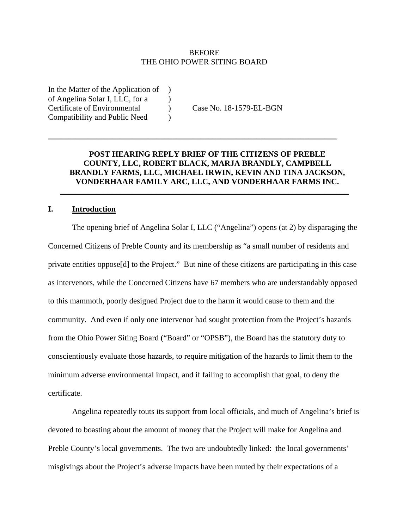## **BEFORE** THE OHIO POWER SITING BOARD

In the Matter of the Application of ) of Angelina Solar I, LLC, for a  $\qquad$  ) Certificate of Environmental ) Case No. 18-1579-EL-BGN Compatibility and Public Need )

# **POST HEARING REPLY BRIEF OF THE CITIZENS OF PREBLE COUNTY, LLC, ROBERT BLACK, MARJA BRANDLY, CAMPBELL BRANDLY FARMS, LLC, MICHAEL IRWIN, KEVIN AND TINA JACKSON, VONDERHAAR FAMILY ARC, LLC, AND VONDERHAAR FARMS INC.**

 $\_$  , and the set of the set of the set of the set of the set of the set of the set of the set of the set of the set of the set of the set of the set of the set of the set of the set of the set of the set of the set of th

\_\_\_\_\_\_\_\_\_\_\_\_\_\_\_\_\_\_\_\_\_\_\_\_\_\_\_\_\_\_\_\_\_\_\_\_\_\_\_\_\_\_\_\_\_\_\_\_\_\_\_\_\_\_\_\_\_\_\_\_\_\_\_\_\_\_\_\_\_\_\_\_

## **I. Introduction**

The opening brief of Angelina Solar I, LLC ("Angelina") opens (at 2) by disparaging the Concerned Citizens of Preble County and its membership as "a small number of residents and private entities oppose[d] to the Project." But nine of these citizens are participating in this case as intervenors, while the Concerned Citizens have 67 members who are understandably opposed to this mammoth, poorly designed Project due to the harm it would cause to them and the community. And even if only one intervenor had sought protection from the Project's hazards from the Ohio Power Siting Board ("Board" or "OPSB"), the Board has the statutory duty to conscientiously evaluate those hazards, to require mitigation of the hazards to limit them to the minimum adverse environmental impact, and if failing to accomplish that goal, to deny the certificate.

Angelina repeatedly touts its support from local officials, and much of Angelina's brief is devoted to boasting about the amount of money that the Project will make for Angelina and Preble County's local governments. The two are undoubtedly linked: the local governments' misgivings about the Project's adverse impacts have been muted by their expectations of a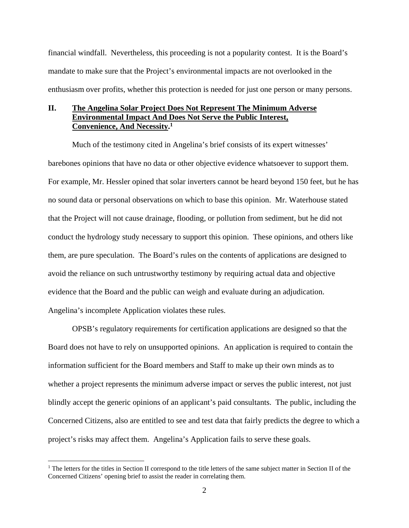financial windfall. Nevertheless, this proceeding is not a popularity contest. It is the Board's mandate to make sure that the Project's environmental impacts are not overlooked in the enthusiasm over profits, whether this protection is needed for just one person or many persons.

## **II. The Angelina Solar Project Does Not Represent The Minimum Adverse Environmental Impact And Does Not Serve the Public Interest, Convenience, And Necessity.1**

Much of the testimony cited in Angelina's brief consists of its expert witnesses' barebones opinions that have no data or other objective evidence whatsoever to support them. For example, Mr. Hessler opined that solar inverters cannot be heard beyond 150 feet, but he has no sound data or personal observations on which to base this opinion. Mr. Waterhouse stated that the Project will not cause drainage, flooding, or pollution from sediment, but he did not conduct the hydrology study necessary to support this opinion. These opinions, and others like them, are pure speculation. The Board's rules on the contents of applications are designed to avoid the reliance on such untrustworthy testimony by requiring actual data and objective evidence that the Board and the public can weigh and evaluate during an adjudication. Angelina's incomplete Application violates these rules.

OPSB's regulatory requirements for certification applications are designed so that the Board does not have to rely on unsupported opinions. An application is required to contain the information sufficient for the Board members and Staff to make up their own minds as to whether a project represents the minimum adverse impact or serves the public interest, not just blindly accept the generic opinions of an applicant's paid consultants. The public, including the Concerned Citizens, also are entitled to see and test data that fairly predicts the degree to which a project's risks may affect them. Angelina's Application fails to serve these goals.

<sup>&</sup>lt;sup>1</sup> The letters for the titles in Section II correspond to the title letters of the same subject matter in Section II of the Concerned Citizens' opening brief to assist the reader in correlating them.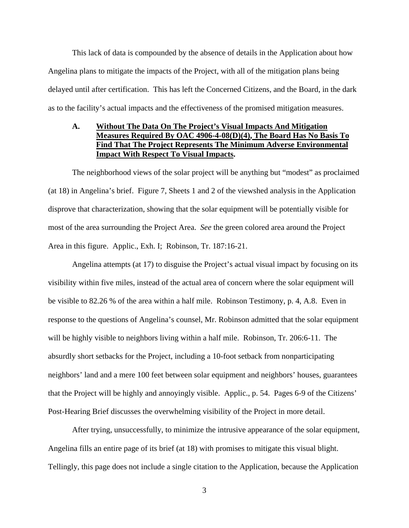This lack of data is compounded by the absence of details in the Application about how Angelina plans to mitigate the impacts of the Project, with all of the mitigation plans being delayed until after certification. This has left the Concerned Citizens, and the Board, in the dark as to the facility's actual impacts and the effectiveness of the promised mitigation measures.

# **A. Without The Data On The Project's Visual Impacts And Mitigation Measures Required By OAC 4906-4-08(D)(4), The Board Has No Basis To Find That The Project Represents The Minimum Adverse Environmental Impact With Respect To Visual Impacts.**

The neighborhood views of the solar project will be anything but "modest" as proclaimed (at 18) in Angelina's brief. Figure 7, Sheets 1 and 2 of the viewshed analysis in the Application disprove that characterization, showing that the solar equipment will be potentially visible for most of the area surrounding the Project Area. *See* the green colored area around the Project Area in this figure. Applic., Exh. I; Robinson, Tr. 187:16-21.

Angelina attempts (at 17) to disguise the Project's actual visual impact by focusing on its visibility within five miles, instead of the actual area of concern where the solar equipment will be visible to 82.26 % of the area within a half mile. Robinson Testimony, p. 4, A.8. Even in response to the questions of Angelina's counsel, Mr. Robinson admitted that the solar equipment will be highly visible to neighbors living within a half mile. Robinson, Tr. 206:6-11. The absurdly short setbacks for the Project, including a 10-foot setback from nonparticipating neighbors' land and a mere 100 feet between solar equipment and neighbors' houses, guarantees that the Project will be highly and annoyingly visible. Applic., p. 54. Pages 6-9 of the Citizens' Post-Hearing Brief discusses the overwhelming visibility of the Project in more detail.

After trying, unsuccessfully, to minimize the intrusive appearance of the solar equipment, Angelina fills an entire page of its brief (at 18) with promises to mitigate this visual blight. Tellingly, this page does not include a single citation to the Application, because the Application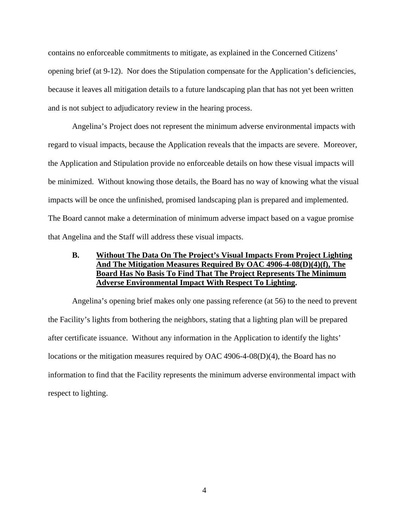contains no enforceable commitments to mitigate, as explained in the Concerned Citizens' opening brief (at 9-12). Nor does the Stipulation compensate for the Application's deficiencies, because it leaves all mitigation details to a future landscaping plan that has not yet been written and is not subject to adjudicatory review in the hearing process.

Angelina's Project does not represent the minimum adverse environmental impacts with regard to visual impacts, because the Application reveals that the impacts are severe. Moreover, the Application and Stipulation provide no enforceable details on how these visual impacts will be minimized. Without knowing those details, the Board has no way of knowing what the visual impacts will be once the unfinished, promised landscaping plan is prepared and implemented. The Board cannot make a determination of minimum adverse impact based on a vague promise that Angelina and the Staff will address these visual impacts.

## **B. Without The Data On The Project's Visual Impacts From Project Lighting And The Mitigation Measures Required By OAC 4906-4-08(D)(4)(f), The Board Has No Basis To Find That The Project Represents The Minimum Adverse Environmental Impact With Respect To Lighting.**

Angelina's opening brief makes only one passing reference (at 56) to the need to prevent the Facility's lights from bothering the neighbors, stating that a lighting plan will be prepared after certificate issuance. Without any information in the Application to identify the lights' locations or the mitigation measures required by OAC 4906-4-08(D)(4), the Board has no information to find that the Facility represents the minimum adverse environmental impact with respect to lighting.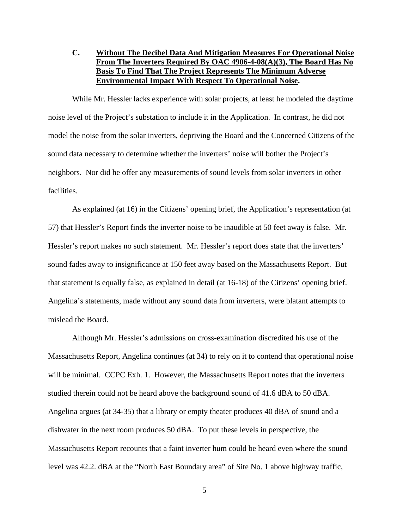**C. Without The Decibel Data And Mitigation Measures For Operational Noise From The Inverters Required By OAC 4906-4-08(A)(3), The Board Has No Basis To Find That The Project Represents The Minimum Adverse Environmental Impact With Respect To Operational Noise.** 

While Mr. Hessler lacks experience with solar projects, at least he modeled the daytime noise level of the Project's substation to include it in the Application. In contrast, he did not model the noise from the solar inverters, depriving the Board and the Concerned Citizens of the sound data necessary to determine whether the inverters' noise will bother the Project's neighbors. Nor did he offer any measurements of sound levels from solar inverters in other facilities.

As explained (at 16) in the Citizens' opening brief, the Application's representation (at 57) that Hessler's Report finds the inverter noise to be inaudible at 50 feet away is false. Mr. Hessler's report makes no such statement. Mr. Hessler's report does state that the inverters' sound fades away to insignificance at 150 feet away based on the Massachusetts Report. But that statement is equally false, as explained in detail (at 16-18) of the Citizens' opening brief. Angelina's statements, made without any sound data from inverters, were blatant attempts to mislead the Board.

Although Mr. Hessler's admissions on cross-examination discredited his use of the Massachusetts Report, Angelina continues (at 34) to rely on it to contend that operational noise will be minimal. CCPC Exh. 1. However, the Massachusetts Report notes that the inverters studied therein could not be heard above the background sound of 41.6 dBA to 50 dBA. Angelina argues (at 34-35) that a library or empty theater produces 40 dBA of sound and a dishwater in the next room produces 50 dBA. To put these levels in perspective, the Massachusetts Report recounts that a faint inverter hum could be heard even where the sound level was 42.2. dBA at the "North East Boundary area" of Site No. 1 above highway traffic,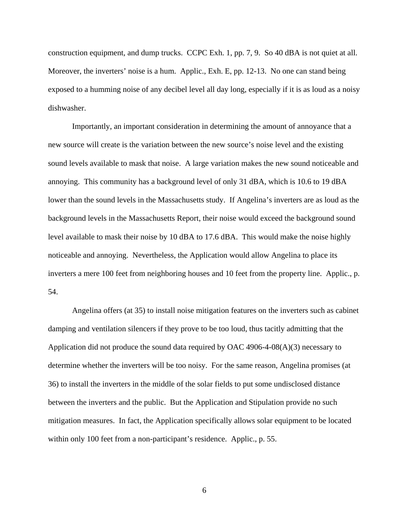construction equipment, and dump trucks. CCPC Exh. 1, pp. 7, 9. So 40 dBA is not quiet at all. Moreover, the inverters' noise is a hum. Applic., Exh. E, pp. 12-13. No one can stand being exposed to a humming noise of any decibel level all day long, especially if it is as loud as a noisy dishwasher.

Importantly, an important consideration in determining the amount of annoyance that a new source will create is the variation between the new source's noise level and the existing sound levels available to mask that noise. A large variation makes the new sound noticeable and annoying. This community has a background level of only 31 dBA, which is 10.6 to 19 dBA lower than the sound levels in the Massachusetts study. If Angelina's inverters are as loud as the background levels in the Massachusetts Report, their noise would exceed the background sound level available to mask their noise by 10 dBA to 17.6 dBA. This would make the noise highly noticeable and annoying. Nevertheless, the Application would allow Angelina to place its inverters a mere 100 feet from neighboring houses and 10 feet from the property line. Applic., p. 54.

Angelina offers (at 35) to install noise mitigation features on the inverters such as cabinet damping and ventilation silencers if they prove to be too loud, thus tacitly admitting that the Application did not produce the sound data required by OAC 4906-4-08(A)(3) necessary to determine whether the inverters will be too noisy. For the same reason, Angelina promises (at 36) to install the inverters in the middle of the solar fields to put some undisclosed distance between the inverters and the public. But the Application and Stipulation provide no such mitigation measures. In fact, the Application specifically allows solar equipment to be located within only 100 feet from a non-participant's residence. Applic., p. 55.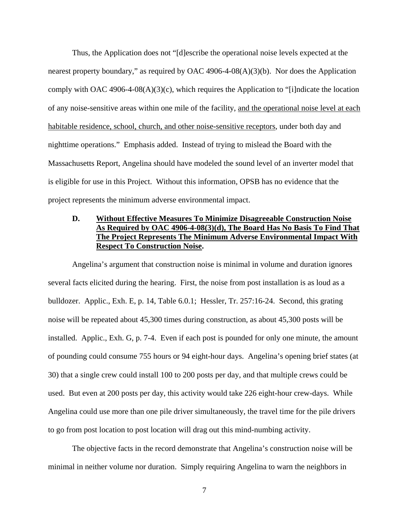Thus, the Application does not "[d]escribe the operational noise levels expected at the nearest property boundary," as required by OAC 4906-4-08(A)(3)(b). Nor does the Application comply with OAC 4906-4-08(A)(3)(c), which requires the Application to "[i]ndicate the location of any noise-sensitive areas within one mile of the facility, and the operational noise level at each habitable residence, school, church, and other noise-sensitive receptors, under both day and nighttime operations." Emphasis added. Instead of trying to mislead the Board with the Massachusetts Report, Angelina should have modeled the sound level of an inverter model that is eligible for use in this Project. Without this information, OPSB has no evidence that the project represents the minimum adverse environmental impact.

# **D. Without Effective Measures To Minimize Disagreeable Construction Noise As Required by OAC 4906-4-08(3)(d), The Board Has No Basis To Find That The Project Represents The Minimum Adverse Environmental Impact With Respect To Construction Noise.**

Angelina's argument that construction noise is minimal in volume and duration ignores several facts elicited during the hearing. First, the noise from post installation is as loud as a bulldozer. Applic., Exh. E, p. 14, Table 6.0.1; Hessler, Tr. 257:16-24. Second, this grating noise will be repeated about 45,300 times during construction, as about 45,300 posts will be installed. Applic., Exh. G, p. 7-4. Even if each post is pounded for only one minute, the amount of pounding could consume 755 hours or 94 eight-hour days. Angelina's opening brief states (at 30) that a single crew could install 100 to 200 posts per day, and that multiple crews could be used. But even at 200 posts per day, this activity would take 226 eight-hour crew-days. While Angelina could use more than one pile driver simultaneously, the travel time for the pile drivers to go from post location to post location will drag out this mind-numbing activity.

The objective facts in the record demonstrate that Angelina's construction noise will be minimal in neither volume nor duration. Simply requiring Angelina to warn the neighbors in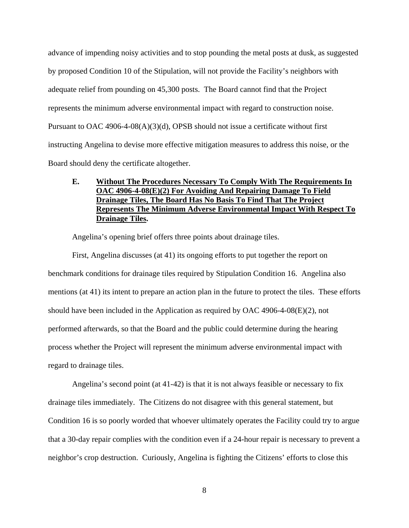advance of impending noisy activities and to stop pounding the metal posts at dusk, as suggested by proposed Condition 10 of the Stipulation, will not provide the Facility's neighbors with adequate relief from pounding on 45,300 posts. The Board cannot find that the Project represents the minimum adverse environmental impact with regard to construction noise. Pursuant to OAC 4906-4-08(A)(3)(d), OPSB should not issue a certificate without first instructing Angelina to devise more effective mitigation measures to address this noise, or the Board should deny the certificate altogether.

# **E. Without The Procedures Necessary To Comply With The Requirements In OAC 4906-4-08(E)(2) For Avoiding And Repairing Damage To Field Drainage Tiles, The Board Has No Basis To Find That The Project Represents The Minimum Adverse Environmental Impact With Respect To Drainage Tiles.**

Angelina's opening brief offers three points about drainage tiles.

First, Angelina discusses (at 41) its ongoing efforts to put together the report on benchmark conditions for drainage tiles required by Stipulation Condition 16. Angelina also mentions (at 41) its intent to prepare an action plan in the future to protect the tiles. These efforts should have been included in the Application as required by OAC 4906-4-08(E)(2), not performed afterwards, so that the Board and the public could determine during the hearing process whether the Project will represent the minimum adverse environmental impact with regard to drainage tiles.

Angelina's second point (at 41-42) is that it is not always feasible or necessary to fix drainage tiles immediately. The Citizens do not disagree with this general statement, but Condition 16 is so poorly worded that whoever ultimately operates the Facility could try to argue that a 30-day repair complies with the condition even if a 24-hour repair is necessary to prevent a neighbor's crop destruction. Curiously, Angelina is fighting the Citizens' efforts to close this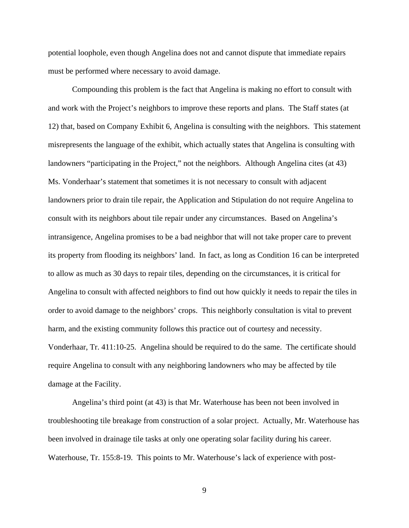potential loophole, even though Angelina does not and cannot dispute that immediate repairs must be performed where necessary to avoid damage.

Compounding this problem is the fact that Angelina is making no effort to consult with and work with the Project's neighbors to improve these reports and plans. The Staff states (at 12) that, based on Company Exhibit 6, Angelina is consulting with the neighbors. This statement misrepresents the language of the exhibit, which actually states that Angelina is consulting with landowners "participating in the Project," not the neighbors. Although Angelina cites (at 43) Ms. Vonderhaar's statement that sometimes it is not necessary to consult with adjacent landowners prior to drain tile repair, the Application and Stipulation do not require Angelina to consult with its neighbors about tile repair under any circumstances. Based on Angelina's intransigence, Angelina promises to be a bad neighbor that will not take proper care to prevent its property from flooding its neighbors' land. In fact, as long as Condition 16 can be interpreted to allow as much as 30 days to repair tiles, depending on the circumstances, it is critical for Angelina to consult with affected neighbors to find out how quickly it needs to repair the tiles in order to avoid damage to the neighbors' crops. This neighborly consultation is vital to prevent harm, and the existing community follows this practice out of courtesy and necessity. Vonderhaar, Tr. 411:10-25. Angelina should be required to do the same. The certificate should require Angelina to consult with any neighboring landowners who may be affected by tile damage at the Facility.

Angelina's third point (at 43) is that Mr. Waterhouse has been not been involved in troubleshooting tile breakage from construction of a solar project. Actually, Mr. Waterhouse has been involved in drainage tile tasks at only one operating solar facility during his career. Waterhouse, Tr. 155:8-19. This points to Mr. Waterhouse's lack of experience with post-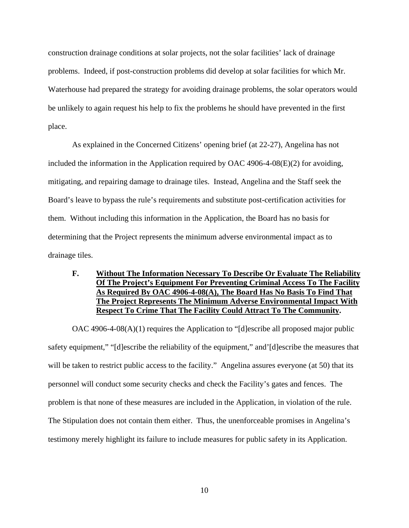construction drainage conditions at solar projects, not the solar facilities' lack of drainage problems. Indeed, if post-construction problems did develop at solar facilities for which Mr. Waterhouse had prepared the strategy for avoiding drainage problems, the solar operators would be unlikely to again request his help to fix the problems he should have prevented in the first place.

As explained in the Concerned Citizens' opening brief (at 22-27), Angelina has not included the information in the Application required by OAC 4906-4-08 $(E)(2)$  for avoiding, mitigating, and repairing damage to drainage tiles. Instead, Angelina and the Staff seek the Board's leave to bypass the rule's requirements and substitute post-certification activities for them. Without including this information in the Application, the Board has no basis for determining that the Project represents the minimum adverse environmental impact as to drainage tiles.

# **F. Without The Information Necessary To Describe Or Evaluate The Reliability Of The Project's Equipment For Preventing Criminal Access To The Facility As Required By OAC 4906-4-08(A), The Board Has No Basis To Find That The Project Represents The Minimum Adverse Environmental Impact With Respect To Crime That The Facility Could Attract To The Community.**

OAC 4906-4-08(A)(1) requires the Application to "[d]escribe all proposed major public safety equipment," "[d]escribe the reliability of the equipment," and'[d]escribe the measures that will be taken to restrict public access to the facility." Angelina assures everyone (at 50) that its personnel will conduct some security checks and check the Facility's gates and fences. The problem is that none of these measures are included in the Application, in violation of the rule. The Stipulation does not contain them either. Thus, the unenforceable promises in Angelina's testimony merely highlight its failure to include measures for public safety in its Application.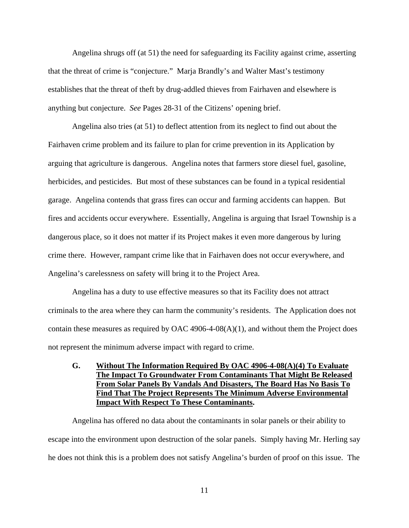Angelina shrugs off (at 51) the need for safeguarding its Facility against crime, asserting that the threat of crime is "conjecture." Marja Brandly's and Walter Mast's testimony establishes that the threat of theft by drug-addled thieves from Fairhaven and elsewhere is anything but conjecture. *See* Pages 28-31 of the Citizens' opening brief.

Angelina also tries (at 51) to deflect attention from its neglect to find out about the Fairhaven crime problem and its failure to plan for crime prevention in its Application by arguing that agriculture is dangerous. Angelina notes that farmers store diesel fuel, gasoline, herbicides, and pesticides. But most of these substances can be found in a typical residential garage. Angelina contends that grass fires can occur and farming accidents can happen. But fires and accidents occur everywhere. Essentially, Angelina is arguing that Israel Township is a dangerous place, so it does not matter if its Project makes it even more dangerous by luring crime there. However, rampant crime like that in Fairhaven does not occur everywhere, and Angelina's carelessness on safety will bring it to the Project Area.

Angelina has a duty to use effective measures so that its Facility does not attract criminals to the area where they can harm the community's residents. The Application does not contain these measures as required by OAC 4906-4-08(A)(1), and without them the Project does not represent the minimum adverse impact with regard to crime.

# **G. Without The Information Required By OAC 4906-4-08(A)(4) To Evaluate The Impact To Groundwater From Contaminants That Might Be Released From Solar Panels By Vandals And Disasters, The Board Has No Basis To Find That The Project Represents The Minimum Adverse Environmental Impact With Respect To These Contaminants.**

Angelina has offered no data about the contaminants in solar panels or their ability to escape into the environment upon destruction of the solar panels. Simply having Mr. Herling say he does not think this is a problem does not satisfy Angelina's burden of proof on this issue. The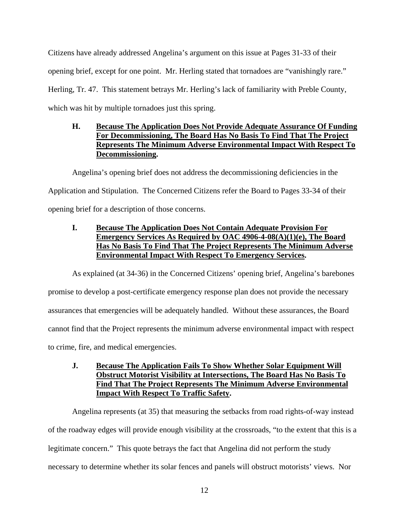Citizens have already addressed Angelina's argument on this issue at Pages 31-33 of their opening brief, except for one point. Mr. Herling stated that tornadoes are "vanishingly rare." Herling, Tr. 47. This statement betrays Mr. Herling's lack of familiarity with Preble County, which was hit by multiple tornadoes just this spring.

# **H. Because The Application Does Not Provide Adequate Assurance Of Funding For Decommissioning, The Board Has No Basis To Find That The Project Represents The Minimum Adverse Environmental Impact With Respect To Decommissioning.**

Angelina's opening brief does not address the decommissioning deficiencies in the

Application and Stipulation. The Concerned Citizens refer the Board to Pages 33-34 of their

opening brief for a description of those concerns.

# **I. Because The Application Does Not Contain Adequate Provision For Emergency Services As Required by OAC 4906-4-08(A)(1)(e), The Board Has No Basis To Find That The Project Represents The Minimum Adverse Environmental Impact With Respect To Emergency Services.**

As explained (at 34-36) in the Concerned Citizens' opening brief, Angelina's barebones promise to develop a post-certificate emergency response plan does not provide the necessary assurances that emergencies will be adequately handled. Without these assurances, the Board cannot find that the Project represents the minimum adverse environmental impact with respect to crime, fire, and medical emergencies.

# **J. Because The Application Fails To Show Whether Solar Equipment Will Obstruct Motorist Visibility at Intersections, The Board Has No Basis To Find That The Project Represents The Minimum Adverse Environmental Impact With Respect To Traffic Safety.**

Angelina represents (at 35) that measuring the setbacks from road rights-of-way instead of the roadway edges will provide enough visibility at the crossroads, "to the extent that this is a legitimate concern." This quote betrays the fact that Angelina did not perform the study necessary to determine whether its solar fences and panels will obstruct motorists' views. Nor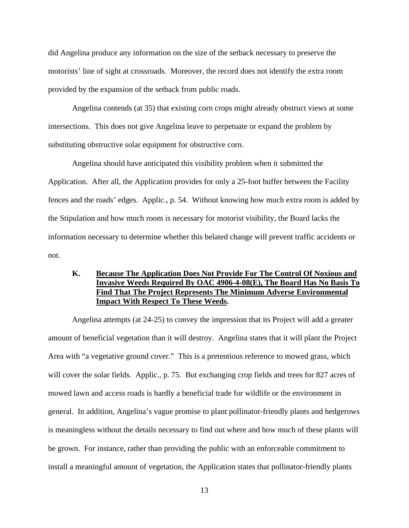did Angelina produce any information on the size of the setback necessary to preserve the motorists' line of sight at crossroads. Moreover, the record does not identify the extra room provided by the expansion of the setback from public roads.

Angelina contends (at 35) that existing corn crops might already obstruct views at some intersections. This does not give Angelina leave to perpetuate or expand the problem by substituting obstructive solar equipment for obstructive corn.

Angelina should have anticipated this visibility problem when it submitted the Application. After all, the Application provides for only a 25-foot buffer between the Facility fences and the roads' edges. Applic., p. 54. Without knowing how much extra room is added by the Stipulation and how much room is necessary for motorist visibility, the Board lacks the information necessary to determine whether this belated change will prevent traffic accidents or not.

## **K. Because The Application Does Not Provide For The Control Of Noxious and Invasive Weeds Required By OAC 4906-4-08(E), The Board Has No Basis To Find That The Project Represents The Minimum Adverse Environmental Impact With Respect To These Weeds.**

Angelina attempts (at 24-25) to convey the impression that its Project will add a greater amount of beneficial vegetation than it will destroy. Angelina states that it will plant the Project Area with "a vegetative ground cover." This is a pretentious reference to mowed grass, which will cover the solar fields. Applic., p. 75. But exchanging crop fields and trees for 827 acres of mowed lawn and access roads is hardly a beneficial trade for wildlife or the environment in general. In addition, Angelina's vague promise to plant pollinator-friendly plants and hedgerows is meaningless without the details necessary to find out where and how much of these plants will be grown. For instance, rather than providing the public with an enforceable commitment to install a meaningful amount of vegetation, the Application states that pollinator-friendly plants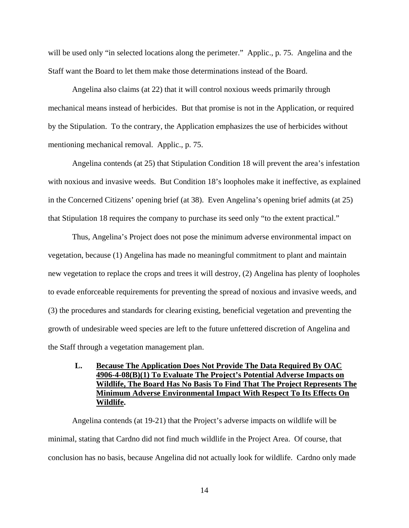will be used only "in selected locations along the perimeter." Applic., p. 75. Angelina and the Staff want the Board to let them make those determinations instead of the Board.

Angelina also claims (at 22) that it will control noxious weeds primarily through mechanical means instead of herbicides. But that promise is not in the Application, or required by the Stipulation. To the contrary, the Application emphasizes the use of herbicides without mentioning mechanical removal. Applic., p. 75.

Angelina contends (at 25) that Stipulation Condition 18 will prevent the area's infestation with noxious and invasive weeds. But Condition 18's loopholes make it ineffective, as explained in the Concerned Citizens' opening brief (at 38). Even Angelina's opening brief admits (at 25) that Stipulation 18 requires the company to purchase its seed only "to the extent practical."

Thus, Angelina's Project does not pose the minimum adverse environmental impact on vegetation, because (1) Angelina has made no meaningful commitment to plant and maintain new vegetation to replace the crops and trees it will destroy, (2) Angelina has plenty of loopholes to evade enforceable requirements for preventing the spread of noxious and invasive weeds, and (3) the procedures and standards for clearing existing, beneficial vegetation and preventing the growth of undesirable weed species are left to the future unfettered discretion of Angelina and the Staff through a vegetation management plan.

# **L. Because The Application Does Not Provide The Data Required By OAC 4906-4-08(B)(1) To Evaluate The Project's Potential Adverse Impacts on Wildlife, The Board Has No Basis To Find That The Project Represents The Minimum Adverse Environmental Impact With Respect To Its Effects On Wildlife.**

Angelina contends (at 19-21) that the Project's adverse impacts on wildlife will be minimal, stating that Cardno did not find much wildlife in the Project Area. Of course, that conclusion has no basis, because Angelina did not actually look for wildlife. Cardno only made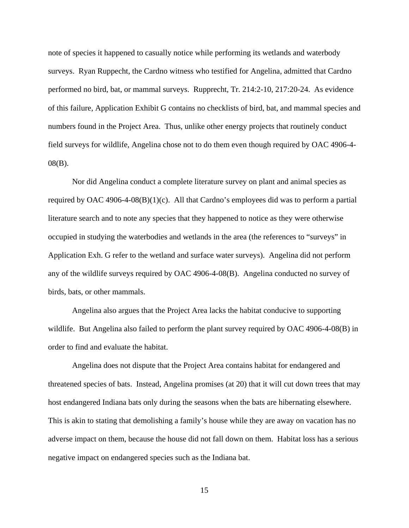note of species it happened to casually notice while performing its wetlands and waterbody surveys. Ryan Ruppecht, the Cardno witness who testified for Angelina, admitted that Cardno performed no bird, bat, or mammal surveys. Rupprecht, Tr. 214:2-10, 217:20-24. As evidence of this failure, Application Exhibit G contains no checklists of bird, bat, and mammal species and numbers found in the Project Area. Thus, unlike other energy projects that routinely conduct field surveys for wildlife, Angelina chose not to do them even though required by OAC 4906-4- 08(B).

Nor did Angelina conduct a complete literature survey on plant and animal species as required by OAC 4906-4-08(B)(1)(c). All that Cardno's employees did was to perform a partial literature search and to note any species that they happened to notice as they were otherwise occupied in studying the waterbodies and wetlands in the area (the references to "surveys" in Application Exh. G refer to the wetland and surface water surveys). Angelina did not perform any of the wildlife surveys required by OAC 4906-4-08(B). Angelina conducted no survey of birds, bats, or other mammals.

Angelina also argues that the Project Area lacks the habitat conducive to supporting wildlife. But Angelina also failed to perform the plant survey required by OAC 4906-4-08(B) in order to find and evaluate the habitat.

Angelina does not dispute that the Project Area contains habitat for endangered and threatened species of bats. Instead, Angelina promises (at 20) that it will cut down trees that may host endangered Indiana bats only during the seasons when the bats are hibernating elsewhere. This is akin to stating that demolishing a family's house while they are away on vacation has no adverse impact on them, because the house did not fall down on them. Habitat loss has a serious negative impact on endangered species such as the Indiana bat.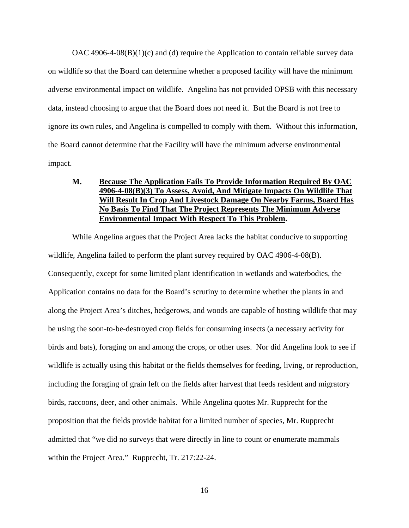$OAC$  4906-4-08 $(B)(1)(c)$  and (d) require the Application to contain reliable survey data on wildlife so that the Board can determine whether a proposed facility will have the minimum adverse environmental impact on wildlife. Angelina has not provided OPSB with this necessary data, instead choosing to argue that the Board does not need it. But the Board is not free to ignore its own rules, and Angelina is compelled to comply with them. Without this information, the Board cannot determine that the Facility will have the minimum adverse environmental impact.

# **M. Because The Application Fails To Provide Information Required By OAC 4906-4-08(B)(3) To Assess, Avoid, And Mitigate Impacts On Wildlife That Will Result In Crop And Livestock Damage On Nearby Farms, Board Has No Basis To Find That The Project Represents The Minimum Adverse Environmental Impact With Respect To This Problem.**

While Angelina argues that the Project Area lacks the habitat conducive to supporting wildlife, Angelina failed to perform the plant survey required by OAC 4906-4-08(B). Consequently, except for some limited plant identification in wetlands and waterbodies, the Application contains no data for the Board's scrutiny to determine whether the plants in and along the Project Area's ditches, hedgerows, and woods are capable of hosting wildlife that may be using the soon-to-be-destroyed crop fields for consuming insects (a necessary activity for birds and bats), foraging on and among the crops, or other uses. Nor did Angelina look to see if wildlife is actually using this habitat or the fields themselves for feeding, living, or reproduction, including the foraging of grain left on the fields after harvest that feeds resident and migratory birds, raccoons, deer, and other animals. While Angelina quotes Mr. Rupprecht for the proposition that the fields provide habitat for a limited number of species, Mr. Rupprecht admitted that "we did no surveys that were directly in line to count or enumerate mammals within the Project Area." Rupprecht, Tr. 217:22-24.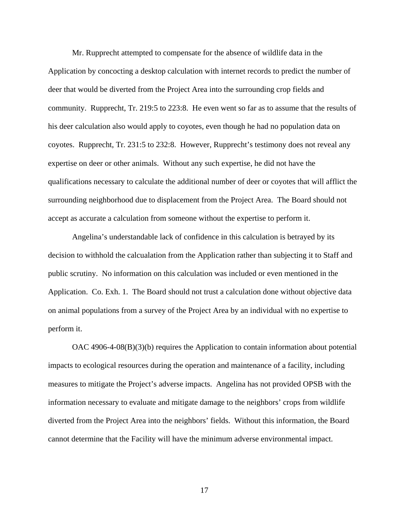Mr. Rupprecht attempted to compensate for the absence of wildlife data in the Application by concocting a desktop calculation with internet records to predict the number of deer that would be diverted from the Project Area into the surrounding crop fields and community. Rupprecht, Tr. 219:5 to 223:8. He even went so far as to assume that the results of his deer calculation also would apply to coyotes, even though he had no population data on coyotes. Rupprecht, Tr. 231:5 to 232:8. However, Rupprecht's testimony does not reveal any expertise on deer or other animals. Without any such expertise, he did not have the qualifications necessary to calculate the additional number of deer or coyotes that will afflict the surrounding neighborhood due to displacement from the Project Area. The Board should not accept as accurate a calculation from someone without the expertise to perform it.

Angelina's understandable lack of confidence in this calculation is betrayed by its decision to withhold the calcualation from the Application rather than subjecting it to Staff and public scrutiny. No information on this calculation was included or even mentioned in the Application. Co. Exh. 1. The Board should not trust a calculation done without objective data on animal populations from a survey of the Project Area by an individual with no expertise to perform it.

OAC 4906-4-08(B)(3)(b) requires the Application to contain information about potential impacts to ecological resources during the operation and maintenance of a facility, including measures to mitigate the Project's adverse impacts. Angelina has not provided OPSB with the information necessary to evaluate and mitigate damage to the neighbors' crops from wildlife diverted from the Project Area into the neighbors' fields. Without this information, the Board cannot determine that the Facility will have the minimum adverse environmental impact.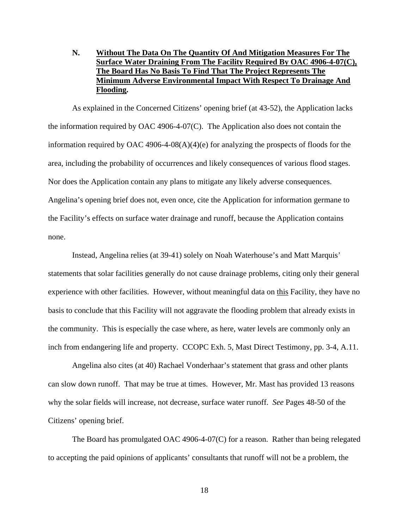# **N. Without The Data On The Quantity Of And Mitigation Measures For The Surface Water Draining From The Facility Required By OAC 4906-4-07(C), The Board Has No Basis To Find That The Project Represents The Minimum Adverse Environmental Impact With Respect To Drainage And Flooding.**

As explained in the Concerned Citizens' opening brief (at 43-52), the Application lacks the information required by OAC 4906-4-07(C). The Application also does not contain the information required by OAC 4906-4-08(A)(4)(e) for analyzing the prospects of floods for the area, including the probability of occurrences and likely consequences of various flood stages. Nor does the Application contain any plans to mitigate any likely adverse consequences. Angelina's opening brief does not, even once, cite the Application for information germane to the Facility's effects on surface water drainage and runoff, because the Application contains none.

Instead, Angelina relies (at 39-41) solely on Noah Waterhouse's and Matt Marquis' statements that solar facilities generally do not cause drainage problems, citing only their general experience with other facilities. However, without meaningful data on this Facility, they have no basis to conclude that this Facility will not aggravate the flooding problem that already exists in the community. This is especially the case where, as here, water levels are commonly only an inch from endangering life and property. CCOPC Exh. 5, Mast Direct Testimony, pp. 3-4, A.11.

Angelina also cites (at 40) Rachael Vonderhaar's statement that grass and other plants can slow down runoff. That may be true at times. However, Mr. Mast has provided 13 reasons why the solar fields will increase, not decrease, surface water runoff. *See* Pages 48-50 of the Citizens' opening brief.

The Board has promulgated OAC 4906-4-07(C) for a reason. Rather than being relegated to accepting the paid opinions of applicants' consultants that runoff will not be a problem, the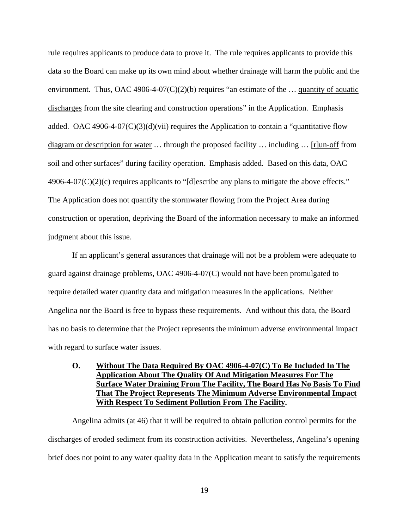rule requires applicants to produce data to prove it. The rule requires applicants to provide this data so the Board can make up its own mind about whether drainage will harm the public and the environment. Thus, OAC 4906-4-07(C)(2)(b) requires "an estimate of the ... quantity of aquatic discharges from the site clearing and construction operations" in the Application. Emphasis added. OAC 4906-4-07(C)(3)(d)(vii) requires the Application to contain a "quantitative flow diagram or description for water … through the proposed facility … including … [r]un-off from soil and other surfaces" during facility operation. Emphasis added. Based on this data, OAC 4906-4-07(C)(2)(c) requires applicants to "[d]escribe any plans to mitigate the above effects." The Application does not quantify the stormwater flowing from the Project Area during construction or operation, depriving the Board of the information necessary to make an informed judgment about this issue.

If an applicant's general assurances that drainage will not be a problem were adequate to guard against drainage problems, OAC 4906-4-07(C) would not have been promulgated to require detailed water quantity data and mitigation measures in the applications. Neither Angelina nor the Board is free to bypass these requirements. And without this data, the Board has no basis to determine that the Project represents the minimum adverse environmental impact with regard to surface water issues.

# **O. Without The Data Required By OAC 4906-4-07(C) To Be Included In The Application About The Quality Of And Mitigation Measures For The Surface Water Draining From The Facility, The Board Has No Basis To Find That The Project Represents The Minimum Adverse Environmental Impact With Respect To Sediment Pollution From The Facility.**

Angelina admits (at 46) that it will be required to obtain pollution control permits for the discharges of eroded sediment from its construction activities. Nevertheless, Angelina's opening brief does not point to any water quality data in the Application meant to satisfy the requirements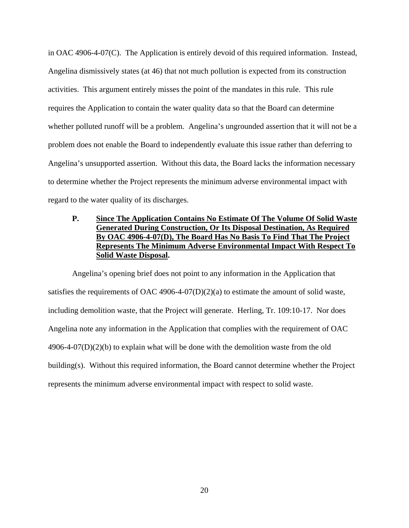in OAC 4906-4-07(C). The Application is entirely devoid of this required information. Instead, Angelina dismissively states (at 46) that not much pollution is expected from its construction activities. This argument entirely misses the point of the mandates in this rule. This rule requires the Application to contain the water quality data so that the Board can determine whether polluted runoff will be a problem. Angelina's ungrounded assertion that it will not be a problem does not enable the Board to independently evaluate this issue rather than deferring to Angelina's unsupported assertion. Without this data, the Board lacks the information necessary to determine whether the Project represents the minimum adverse environmental impact with regard to the water quality of its discharges.

# **P. Since The Application Contains No Estimate Of The Volume Of Solid Waste Generated During Construction, Or Its Disposal Destination, As Required By OAC 4906-4-07(D), The Board Has No Basis To Find That The Project Represents The Minimum Adverse Environmental Impact With Respect To Solid Waste Disposal.**

Angelina's opening brief does not point to any information in the Application that satisfies the requirements of OAC 4906-4-07(D)(2)(a) to estimate the amount of solid waste, including demolition waste, that the Project will generate. Herling, Tr. 109:10-17. Nor does Angelina note any information in the Application that complies with the requirement of OAC  $4906-4-07(D)(2)(b)$  to explain what will be done with the demolition waste from the old building(s). Without this required information, the Board cannot determine whether the Project represents the minimum adverse environmental impact with respect to solid waste.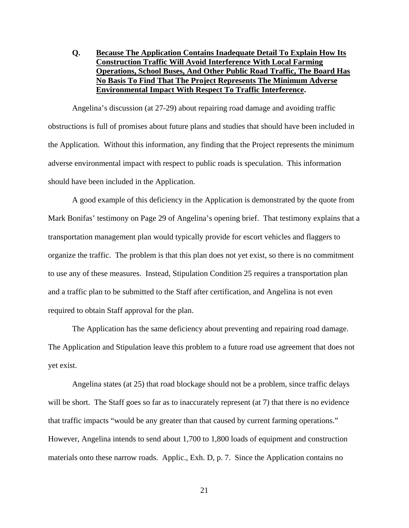**Q. Because The Application Contains Inadequate Detail To Explain How Its Construction Traffic Will Avoid Interference With Local Farming Operations, School Buses, And Other Public Road Traffic, The Board Has No Basis To Find That The Project Represents The Minimum Adverse Environmental Impact With Respect To Traffic Interference.** 

Angelina's discussion (at 27-29) about repairing road damage and avoiding traffic obstructions is full of promises about future plans and studies that should have been included in the Application. Without this information, any finding that the Project represents the minimum adverse environmental impact with respect to public roads is speculation. This information should have been included in the Application.

A good example of this deficiency in the Application is demonstrated by the quote from Mark Bonifas' testimony on Page 29 of Angelina's opening brief. That testimony explains that a transportation management plan would typically provide for escort vehicles and flaggers to organize the traffic. The problem is that this plan does not yet exist, so there is no commitment to use any of these measures. Instead, Stipulation Condition 25 requires a transportation plan and a traffic plan to be submitted to the Staff after certification, and Angelina is not even required to obtain Staff approval for the plan.

The Application has the same deficiency about preventing and repairing road damage. The Application and Stipulation leave this problem to a future road use agreement that does not yet exist.

Angelina states (at 25) that road blockage should not be a problem, since traffic delays will be short. The Staff goes so far as to inaccurately represent (at 7) that there is no evidence that traffic impacts "would be any greater than that caused by current farming operations." However, Angelina intends to send about 1,700 to 1,800 loads of equipment and construction materials onto these narrow roads. Applic., Exh. D, p. 7. Since the Application contains no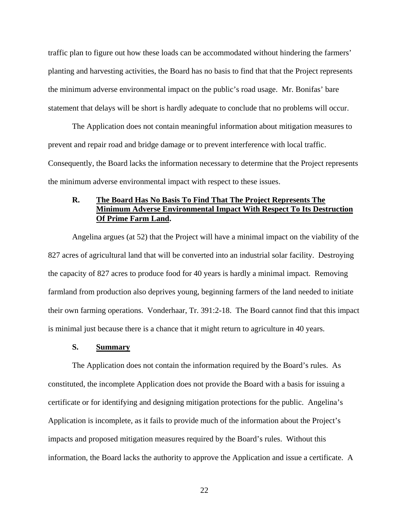traffic plan to figure out how these loads can be accommodated without hindering the farmers' planting and harvesting activities, the Board has no basis to find that that the Project represents the minimum adverse environmental impact on the public's road usage. Mr. Bonifas' bare statement that delays will be short is hardly adequate to conclude that no problems will occur.

The Application does not contain meaningful information about mitigation measures to prevent and repair road and bridge damage or to prevent interference with local traffic. Consequently, the Board lacks the information necessary to determine that the Project represents the minimum adverse environmental impact with respect to these issues.

# **R. The Board Has No Basis To Find That The Project Represents The Minimum Adverse Environmental Impact With Respect To Its Destruction Of Prime Farm Land.**

Angelina argues (at 52) that the Project will have a minimal impact on the viability of the 827 acres of agricultural land that will be converted into an industrial solar facility. Destroying the capacity of 827 acres to produce food for 40 years is hardly a minimal impact. Removing farmland from production also deprives young, beginning farmers of the land needed to initiate their own farming operations. Vonderhaar, Tr. 391:2-18. The Board cannot find that this impact is minimal just because there is a chance that it might return to agriculture in 40 years.

#### **S. Summary**

The Application does not contain the information required by the Board's rules. As constituted, the incomplete Application does not provide the Board with a basis for issuing a certificate or for identifying and designing mitigation protections for the public. Angelina's Application is incomplete, as it fails to provide much of the information about the Project's impacts and proposed mitigation measures required by the Board's rules. Without this information, the Board lacks the authority to approve the Application and issue a certificate. A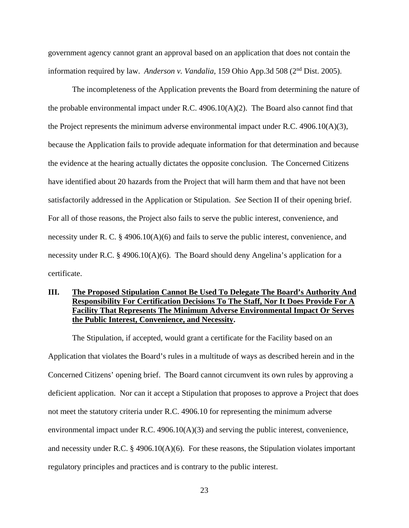government agency cannot grant an approval based on an application that does not contain the information required by law. *Anderson v. Vandalia*, 159 Ohio App.3d 508 (2nd Dist. 2005).

The incompleteness of the Application prevents the Board from determining the nature of the probable environmental impact under R.C. 4906.10(A)(2). The Board also cannot find that the Project represents the minimum adverse environmental impact under R.C. 4906.10( $A$ )(3), because the Application fails to provide adequate information for that determination and because the evidence at the hearing actually dictates the opposite conclusion. The Concerned Citizens have identified about 20 hazards from the Project that will harm them and that have not been satisfactorily addressed in the Application or Stipulation. *See* Section II of their opening brief. For all of those reasons, the Project also fails to serve the public interest, convenience, and necessity under R. C. § 4906.10(A)(6) and fails to serve the public interest, convenience, and necessity under R.C. § 4906.10(A)(6). The Board should deny Angelina's application for a certificate.

# **III. The Proposed Stipulation Cannot Be Used To Delegate The Board's Authority And Responsibility For Certification Decisions To The Staff, Nor It Does Provide For A Facility That Represents The Minimum Adverse Environmental Impact Or Serves the Public Interest, Convenience, and Necessity.**

The Stipulation, if accepted, would grant a certificate for the Facility based on an Application that violates the Board's rules in a multitude of ways as described herein and in the Concerned Citizens' opening brief. The Board cannot circumvent its own rules by approving a deficient application. Nor can it accept a Stipulation that proposes to approve a Project that does not meet the statutory criteria under R.C. 4906.10 for representing the minimum adverse environmental impact under R.C. 4906.10(A)(3) and serving the public interest, convenience, and necessity under R.C.  $\S$  4906.10(A)(6). For these reasons, the Stipulation violates important regulatory principles and practices and is contrary to the public interest.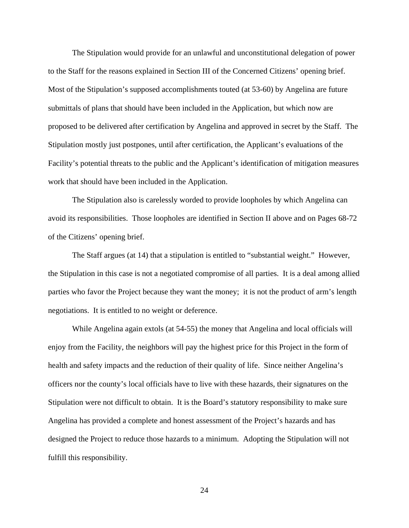The Stipulation would provide for an unlawful and unconstitutional delegation of power to the Staff for the reasons explained in Section III of the Concerned Citizens' opening brief. Most of the Stipulation's supposed accomplishments touted (at 53-60) by Angelina are future submittals of plans that should have been included in the Application, but which now are proposed to be delivered after certification by Angelina and approved in secret by the Staff. The Stipulation mostly just postpones, until after certification, the Applicant's evaluations of the Facility's potential threats to the public and the Applicant's identification of mitigation measures work that should have been included in the Application.

The Stipulation also is carelessly worded to provide loopholes by which Angelina can avoid its responsibilities. Those loopholes are identified in Section II above and on Pages 68-72 of the Citizens' opening brief.

The Staff argues (at 14) that a stipulation is entitled to "substantial weight." However, the Stipulation in this case is not a negotiated compromise of all parties. It is a deal among allied parties who favor the Project because they want the money; it is not the product of arm's length negotiations. It is entitled to no weight or deference.

While Angelina again extols (at 54-55) the money that Angelina and local officials will enjoy from the Facility, the neighbors will pay the highest price for this Project in the form of health and safety impacts and the reduction of their quality of life. Since neither Angelina's officers nor the county's local officials have to live with these hazards, their signatures on the Stipulation were not difficult to obtain. It is the Board's statutory responsibility to make sure Angelina has provided a complete and honest assessment of the Project's hazards and has designed the Project to reduce those hazards to a minimum. Adopting the Stipulation will not fulfill this responsibility.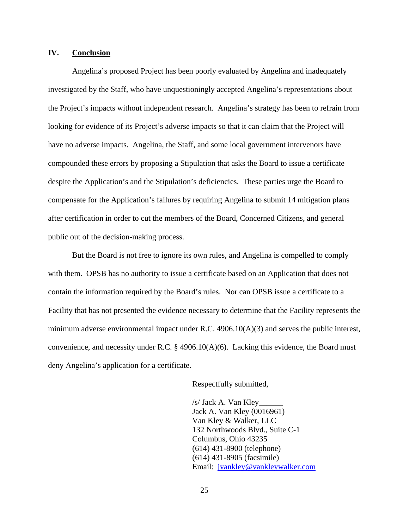### **IV. Conclusion**

Angelina's proposed Project has been poorly evaluated by Angelina and inadequately investigated by the Staff, who have unquestioningly accepted Angelina's representations about the Project's impacts without independent research. Angelina's strategy has been to refrain from looking for evidence of its Project's adverse impacts so that it can claim that the Project will have no adverse impacts. Angelina, the Staff, and some local government intervenors have compounded these errors by proposing a Stipulation that asks the Board to issue a certificate despite the Application's and the Stipulation's deficiencies. These parties urge the Board to compensate for the Application's failures by requiring Angelina to submit 14 mitigation plans after certification in order to cut the members of the Board, Concerned Citizens, and general public out of the decision-making process.

But the Board is not free to ignore its own rules, and Angelina is compelled to comply with them. OPSB has no authority to issue a certificate based on an Application that does not contain the information required by the Board's rules. Nor can OPSB issue a certificate to a Facility that has not presented the evidence necessary to determine that the Facility represents the minimum adverse environmental impact under R.C.  $4906.10(A)(3)$  and serves the public interest, convenience, and necessity under R.C. § 4906.10(A)(6). Lacking this evidence, the Board must deny Angelina's application for a certificate.

Respectfully submitted,

/s/ Jack A. Van Kley\_\_\_\_\_\_ Jack A. Van Kley (0016961) Van Kley & Walker, LLC 132 Northwoods Blvd., Suite C-1 Columbus, Ohio 43235 (614) 431-8900 (telephone) (614) 431-8905 (facsimile) Email: jvankley@vankleywalker.com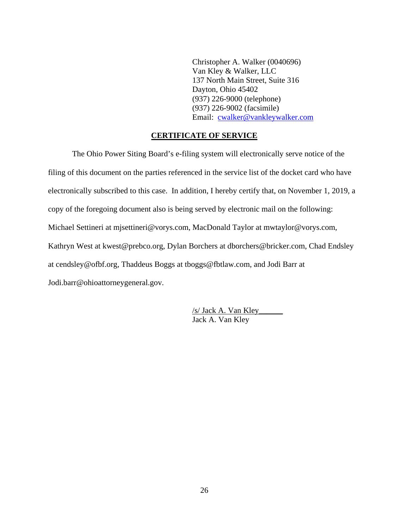Christopher A. Walker (0040696) Van Kley & Walker, LLC 137 North Main Street, Suite 316 Dayton, Ohio 45402 (937) 226-9000 (telephone) (937) 226-9002 (facsimile) Email: cwalker@vankleywalker.com

## **CERTIFICATE OF SERVICE**

The Ohio Power Siting Board's e-filing system will electronically serve notice of the filing of this document on the parties referenced in the service list of the docket card who have electronically subscribed to this case. In addition, I hereby certify that, on November 1, 2019, a copy of the foregoing document also is being served by electronic mail on the following: Michael Settineri at mjsettineri@vorys.com, MacDonald Taylor at mwtaylor@vorys.com, Kathryn West at kwest@prebco.org, Dylan Borchers at dborchers@bricker.com, Chad Endsley at cendsley@ofbf.org, Thaddeus Boggs at tboggs@fbtlaw.com, and Jodi Barr at Jodi.barr@ohioattorneygeneral.gov.

> /s/ Jack A. Van Kley\_\_\_\_\_\_ Jack A. Van Kley